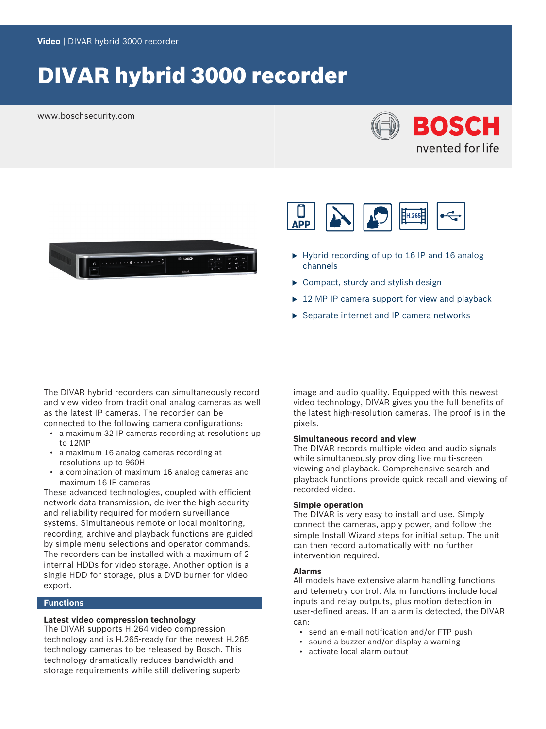# DIVAR hybrid 3000 recorder

www.boschsecurity.com







- $\blacktriangleright$  Hybrid recording of up to 16 IP and 16 analog channels
- $\triangleright$  Compact, sturdy and stylish design
- $\triangleright$  12 MP IP camera support for view and playback
- $\triangleright$  Separate internet and IP camera networks

The DIVAR hybrid recorders can simultaneously record and view video from traditional analog cameras as well as the latest IP cameras. The recorder can be connected to the following camera configurations:

- a maximum 32 IP cameras recording at resolutions up to 12MP
- a maximum 16 analog cameras recording at resolutions up to 960H
- a combination of maximum 16 analog cameras and maximum 16 IP cameras

These advanced technologies, coupled with efficient network data transmission, deliver the high security and reliability required for modern surveillance systems. Simultaneous remote or local monitoring, recording, archive and playback functions are guided by simple menu selections and operator commands. The recorders can be installed with a maximum of 2 internal HDDs for video storage. Another option is a single HDD for storage, plus a DVD burner for video export.

#### **Functions**

#### **Latest video compression technology**

The DIVAR supports H.264 video compression technology and is H.265-ready for the newest H.265 technology cameras to be released by Bosch. This technology dramatically reduces bandwidth and storage requirements while still delivering superb

image and audio quality. Equipped with this newest video technology, DIVAR gives you the full benefits of the latest high-resolution cameras. The proof is in the pixels.

#### **Simultaneous record and view**

The DIVAR records multiple video and audio signals while simultaneously providing live multi-screen viewing and playback. Comprehensive search and playback functions provide quick recall and viewing of recorded video.

#### **Simple operation**

The DIVAR is very easy to install and use. Simply connect the cameras, apply power, and follow the simple Install Wizard steps for initial setup. The unit can then record automatically with no further intervention required.

#### **Alarms**

All models have extensive alarm handling functions and telemetry control. Alarm functions include local inputs and relay outputs, plus motion detection in user-defined areas. If an alarm is detected, the DIVAR can:

- send an e-mail notification and/or FTP push
- sound a buzzer and/or display a warning
- activate local alarm output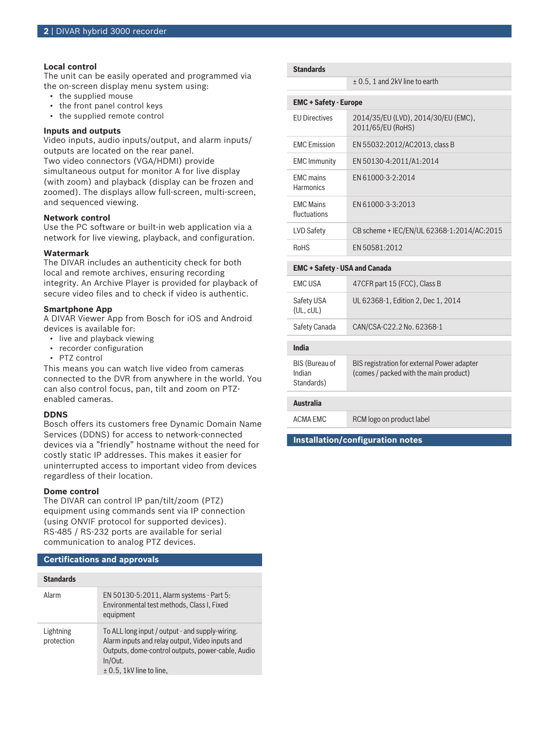#### **Local control**

The unit can be easily operated and programmed via the on-screen display menu system using:

- the supplied mouse
- the front panel control keys
- the supplied remote control

#### **Inputs and outputs**

Video inputs, audio inputs/output, and alarm inputs/ outputs are located on the rear panel.

Two video connectors (VGA/HDMI) provide simultaneous output for monitor A for live display (with zoom) and playback (display can be frozen and zoomed). The displays allow full-screen, multi-screen, and sequenced viewing.

#### **Network control**

Use the PC software or built-in web application via a network for live viewing, playback, and configuration.

#### **Watermark**

The DIVAR includes an authenticity check for both local and remote archives, ensuring recording integrity. An Archive Player is provided for playback of secure video files and to check if video is authentic.

#### **Smartphone App**

A DIVAR Viewer App from Bosch for iOS and Android devices is available for:

- live and playback viewing
- recorder configuration
- PTZ control

This means you can watch live video from cameras connected to the DVR from anywhere in the world. You can also control focus, pan, tilt and zoom on PTZenabled cameras.

#### **DDNS**

Bosch offers its customers free Dynamic Domain Name Services (DDNS) for access to network-connected devices via a "friendly" hostname without the need for costly static IP addresses. This makes it easier for uninterrupted access to important video from devices regardless of their location.

#### **Dome control**

The DIVAR can control IP pan/tilt/zoom (PTZ) equipment using commands sent via IP connection (using ONVIF protocol for supported devices). RS‑485 / RS‑232 ports are available for serial communication to analog PTZ devices.

#### **Certifications and approvals**

| <b>Standards</b>        |                                                                                                                                                                                                    |
|-------------------------|----------------------------------------------------------------------------------------------------------------------------------------------------------------------------------------------------|
| Alarm                   | EN 50130-5:2011, Alarm systems - Part 5:<br>Environmental test methods, Class I, Fixed<br>equipment                                                                                                |
| Lightning<br>protection | To ALL long input / output - and supply-wiring.<br>Alarm inputs and relay output, Video inputs and<br>Outputs, dome-control outputs, power-cable, Audio<br>In/Out.<br>$\pm$ 0.5, 1kV line to line, |

± 0.5, 1 and 2kV line to earth

| <b>EMC + Safety - Europe</b>         |                                                          |
|--------------------------------------|----------------------------------------------------------|
| <b>FU Directives</b>                 | 2014/35/EU (LVD), 2014/30/EU (EMC),<br>2011/65/EU (RoHS) |
| <b>FMC</b> Emission                  | EN 55032:2012/AC2013, class B                            |
| <b>EMC</b> Immunity                  | EN 50130-4:2011/A1:2014                                  |
| <b>EMC</b> mains<br><b>Harmonics</b> | FN 61000-3-2:2014                                        |
| <b>FMC Mains</b><br>fluctuations     | FN 61000-3-3:2013                                        |
| LVD Safety                           | CB scheme + IEC/EN/UL 62368-1:2014/AC:2015               |
| <b>RoHS</b>                          | FN 50581:2012                                            |
| <b>EMC + Safety - USA and Canada</b> |                                                          |
| <b>FMCUSA</b>                        | 47 CFR part 15 (FCC), Class B                            |
| Safety USA<br>(UL, cUL)              | UL 62368-1, Edition 2, Dec 1, 2014                       |
| Safety Canada                        | CAN/CSA-C22.2 No. 62368-1                                |
|                                      |                                                          |

| Australia             |                                             |
|-----------------------|---------------------------------------------|
|                       |                                             |
| Standards)            |                                             |
| Indian                | (comes / packed with the main product)      |
| <b>BIS (Bureau of</b> | BIS registration for external Power adapter |

ACMA EMC RCM logo on product label

**India**

**Installation/configuration notes**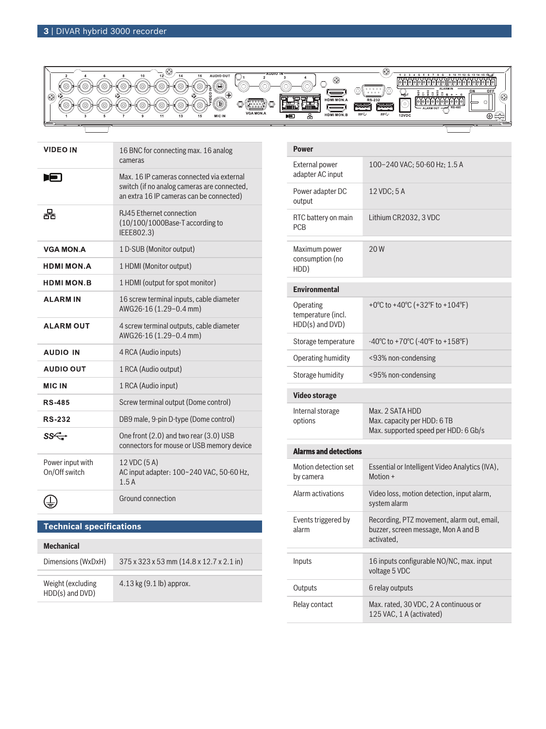

| VIDEO IN                          | 16 BNC for connecting max. 16 analog<br>cameras                                                                                      |
|-----------------------------------|--------------------------------------------------------------------------------------------------------------------------------------|
| E                                 | Max, 16 IP cameras connected via external<br>switch (if no analog cameras are connected,<br>an extra 16 IP cameras can be connected) |
| 果                                 | <b>RJ45 Ethernet connection</b><br>(10/100/1000Base-T according to<br>IEEE802.3)                                                     |
| <b>VGA MON.A</b>                  | 1 D-SUB (Monitor output)                                                                                                             |
| <b>HDMI MON.A</b>                 | 1 HDMI (Monitor output)                                                                                                              |
| <b>HDMI MON.B</b>                 | 1 HDMI (output for spot monitor)                                                                                                     |
| <b>ALARMIN</b>                    | 16 screw terminal inputs, cable diameter<br>AWG26-16 (1.29-0.4 mm)                                                                   |
| <b>ALARM OUT</b>                  | 4 screw terminal outputs, cable diameter<br>AWG26-16 (1.29-0.4 mm)                                                                   |
| <b>AUDIO IN</b>                   | 4 RCA (Audio inputs)                                                                                                                 |
| <b>AUDIO OUT</b>                  | 1 RCA (Audio output)                                                                                                                 |
| <b>MIC IN</b>                     | 1 RCA (Audio input)                                                                                                                  |
| <b>RS-485</b>                     | Screw terminal output (Dome control)                                                                                                 |
| <b>RS-232</b>                     | DB9 male, 9-pin D-type (Dome control)                                                                                                |
| ss←                               | One front (2.0) and two rear (3.0) USB<br>connectors for mouse or USB memory device                                                  |
| Power input with<br>On/Off switch | 12 VDC (5 A)<br>AC input adapter: 100~240 VAC, 50-60 Hz,<br>1.5A                                                                     |
|                                   | Ground connection                                                                                                                    |

# **Technical specifications**

| <b>Mechanical</b>                    |                                                                  |
|--------------------------------------|------------------------------------------------------------------|
| Dimensions (WxDxH)                   | $375 \times 323 \times 53$ mm $(14.8 \times 12.7 \times 2.1)$ in |
| Weight (excluding<br>HDD(s) and DVD) | $4.13 \text{ kg} (9.1 \text{ lb})$ approx.                       |

| <b>Power</b>                                       |                                                                                                 |
|----------------------------------------------------|-------------------------------------------------------------------------------------------------|
| <b>External power</b><br>adapter AC input          | 100-240 VAC; 50-60 Hz; 1.5 A                                                                    |
| Power adapter DC<br>output                         | 12 VDC; 5 A                                                                                     |
| RTC battery on main<br><b>PCB</b>                  | Lithium CR2032, 3 VDC                                                                           |
| Maximum power<br>consumption (no<br>HDD)           | 20W                                                                                             |
| <b>Environmental</b>                               |                                                                                                 |
| Operating<br>temperature (incl.<br>HDD(s) and DVD) | +0°C to +40°C (+32°F to +104°F)                                                                 |
| Storage temperature                                | $-40^{\circ}$ C to $+70^{\circ}$ C ( $-40^{\circ}$ F to $+158^{\circ}$ F)                       |
| Operating humidity                                 | <93% non-condensing                                                                             |
| Storage humidity                                   | <95% non-condensing                                                                             |
| <b>Video storage</b>                               |                                                                                                 |
| Internal storage<br>options                        | Max. 2 SATA HDD                                                                                 |
|                                                    | Max. capacity per HDD: 6 TB<br>Max. supported speed per HDD: 6 Gb/s                             |
| <b>Alarms and detections</b>                       |                                                                                                 |
| Motion detection set<br>by camera                  | Essential or Intelligent Video Analytics (IVA),<br>Motion +                                     |
| Alarm activations                                  | Video loss, motion detection, input alarm,<br>system alarm                                      |
| Events triggered by<br>alarm                       | Recording, PTZ movement, alarm out, email,<br>buzzer, screen message, Mon A and B<br>activated. |
| Inputs                                             | 16 inputs configurable NO/NC, max. input<br>voltage 5 VDC                                       |
| Outputs                                            | 6 relay outputs                                                                                 |
| Relay contact                                      | Max. rated, 30 VDC, 2 A continuous or<br>125 VAC, 1 A (activated)                               |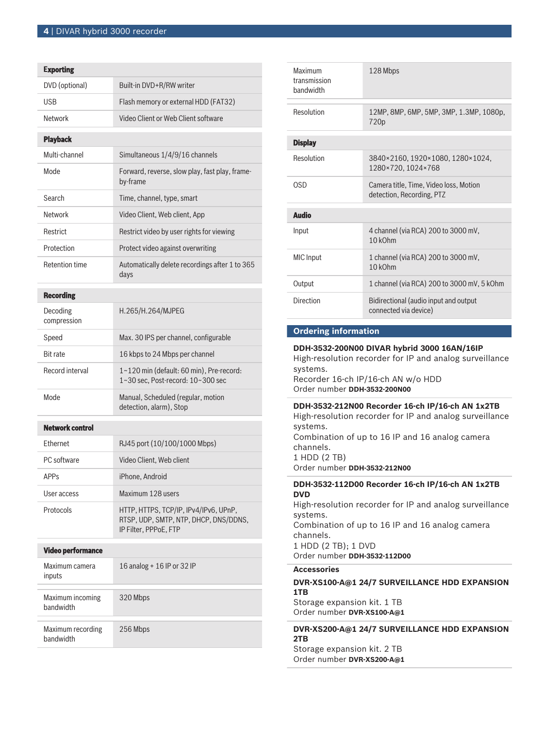|                                | <b>Exporting</b>                                                                                        |  |
|--------------------------------|---------------------------------------------------------------------------------------------------------|--|
| DVD (optional)                 | Built-in DVD+R/RW writer                                                                                |  |
| USB                            | Flash memory or external HDD (FAT32)                                                                    |  |
| <b>Network</b>                 | Video Client or Web Client software                                                                     |  |
| <b>Playback</b>                |                                                                                                         |  |
| Multi-channel                  | Simultaneous 1/4/9/16 channels                                                                          |  |
| Mode                           | Forward, reverse, slow play, fast play, frame-<br>by-frame                                              |  |
| Search                         | Time, channel, type, smart                                                                              |  |
| Network                        | Video Client, Web client, App                                                                           |  |
| Restrict                       | Restrict video by user rights for viewing                                                               |  |
| Protection                     | Protect video against overwriting                                                                       |  |
| <b>Retention time</b>          | Automatically delete recordings after 1 to 365<br>days                                                  |  |
| <b>Recording</b>               |                                                                                                         |  |
| Decoding<br>compression        | H.265/H.264/MJPEG                                                                                       |  |
| Speed                          | Max. 30 IPS per channel, configurable                                                                   |  |
| <b>Bit rate</b>                | 16 kbps to 24 Mbps per channel                                                                          |  |
| Record interval                | 1~120 min (default: 60 min), Pre-record:<br>1~30 sec, Post-record: 10~300 sec                           |  |
| Mode                           | Manual, Scheduled (regular, motion<br>detection, alarm), Stop                                           |  |
| <b>Network control</b>         |                                                                                                         |  |
| Ethernet                       | RJ45 port (10/100/1000 Mbps)                                                                            |  |
| PC software                    | Video Client, Web client                                                                                |  |
| <b>APPs</b>                    | iPhone, Android                                                                                         |  |
| User access                    | Maximum 128 users                                                                                       |  |
| Protocols                      | HTTP, HTTPS, TCP/IP, IPv4/IPv6, UPnP,<br>RTSP, UDP, SMTP, NTP, DHCP, DNS/DDNS,<br>IP Filter, PPPoE, FTP |  |
| <b>Video performance</b>       |                                                                                                         |  |
| Maximum camera<br>inputs       | 16 analog + 16 IP or 32 IP                                                                              |  |
| Maximum incoming<br>bandwidth  | 320 Mbps                                                                                                |  |
| Maximum recording<br>bandwidth | 256 Mbps                                                                                                |  |

| Maximum<br>transmission<br>bandwidth                                                                                                                                                                                                    | 128 Mbps                                                            |  |
|-----------------------------------------------------------------------------------------------------------------------------------------------------------------------------------------------------------------------------------------|---------------------------------------------------------------------|--|
| Resolution                                                                                                                                                                                                                              | 12MP, 8MP, 6MP, 5MP, 3MP, 1.3MP, 1080p,<br>720p                     |  |
| <b>Display</b>                                                                                                                                                                                                                          |                                                                     |  |
| Resolution                                                                                                                                                                                                                              | 3840×2160, 1920×1080, 1280×1024,<br>1280×720, 1024×768              |  |
| <b>OSD</b>                                                                                                                                                                                                                              | Camera title, Time, Video loss, Motion<br>detection, Recording, PTZ |  |
| <b>Audio</b>                                                                                                                                                                                                                            |                                                                     |  |
| Input                                                                                                                                                                                                                                   | 4 channel (via RCA) 200 to 3000 mV,<br>10 kOhm                      |  |
| <b>MIC</b> Input                                                                                                                                                                                                                        | 1 channel (via RCA) 200 to 3000 mV,<br>10 kOhm                      |  |
| Output                                                                                                                                                                                                                                  | 1 channel (via RCA) 200 to 3000 mV, 5 kOhm                          |  |
| <b>Direction</b>                                                                                                                                                                                                                        | Bidirectional (audio input and output<br>connected via device)      |  |
| <b>Ordering information</b>                                                                                                                                                                                                             |                                                                     |  |
| DDH-3532-200N00 DIVAR hybrid 3000 16AN/16IP<br>High-resolution recorder for IP and analog surveillance<br>systems.<br>Recorder 16-ch IP/16-ch AN w/o HDD<br>Order number DDH-3532-200N00                                                |                                                                     |  |
| DDH-3532-212N00 Recorder 16-ch IP/16-ch AN 1x2TB<br>High-resolution recorder for IP and analog surveillance<br>systems.<br>Combination of up to 16 IP and 16 analog camera<br>channels.<br>1 HDD (2 TB)<br>Order number DDH-3532-212N00 |                                                                     |  |
| DDH-3532-112D00 Recorder 16-ch IP/16-ch AN 1x2TB<br><b>DVD</b><br>High-resolution recorder for IP and analog surveillance<br>systems.                                                                                                   |                                                                     |  |

Combination of up to 16 IP and 16 analog camera channels.

1 HDD (2 TB); 1 DVD Order number **DDH-3532-112D00**

#### **Accessories**

**DVR-XS100-A@1 24/7 SURVEILLANCE HDD EXPANSION 1TB** Storage expansion kit. 1 TB Order number **DVR-XS100-A@1**

### **DVR-XS200-A@1 24/7 SURVEILLANCE HDD EXPANSION 2TB**

Storage expansion kit. 2 TB Order number **DVR-XS200-A@1**